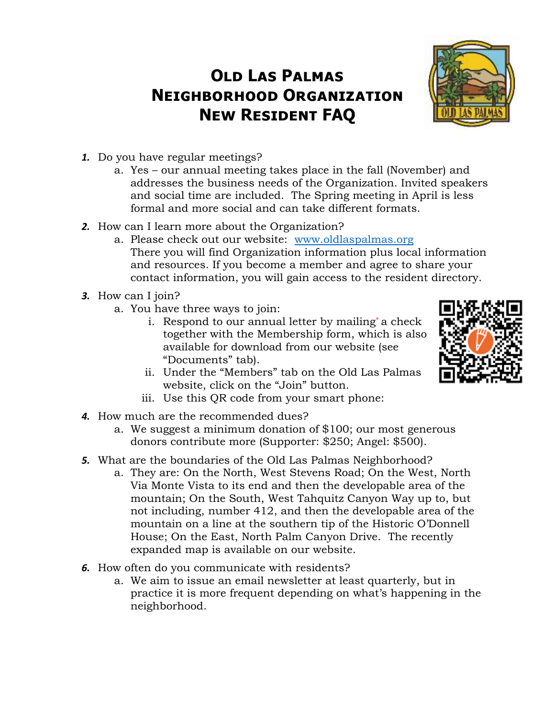## **Old Las Palmas Neighborhood Organization New Resident FAQ**



- *1.* Do you have regular meetings?
	- a. Yes our annual meeting takes place in the fall (November) and addresses the business needs of the Organization. Invited speakers and social time are included. The Spring meeting in April is less formal and more social and can take different formats.
- *2.* How can I learn more about the Organization?
	- a. Please check out our website: [www.oldlaspalmas.org](http://www.oldlaspalmas.org/) There you will find Organization information plus local information and resources. If you become a member and agree to share your contact information, you will gain access to the resident directory.
- *3.* How can I join?
	- a. You have three ways to join:
		- i. Respond to our annual letter by mailing\* a check together with the Membership form, which is also available for download from our website (see "Documents" tab).
- 
- ii. Under the "Members" tab on the Old Las Palmas website, click on the "Join" button.
- iii. Use this QR code from your smart phone:
- *4.* How much are the recommended dues?
	- a. We suggest a minimum donation of \$100; our most generous donors contribute more (Supporter: \$250; Angel: \$500).
- *5.* What are the boundaries of the Old Las Palmas Neighborhood?
	- a. They are: On the North, West Stevens Road; On the West, North Via Monte Vista to its end and then the developable area of the mountain; On the South, West Tahquitz Canyon Way up to, but not including, number 412, and then the developable area of the mountain on a line at the southern tip of the Historic O'Donnell House; On the East, North Palm Canyon Drive. The recently expanded map is available on our website.
- *6.* How often do you communicate with residents?
	- a. We aim to issue an email newsletter at least quarterly, but in practice it is more frequent depending on what's happening in the neighborhood.